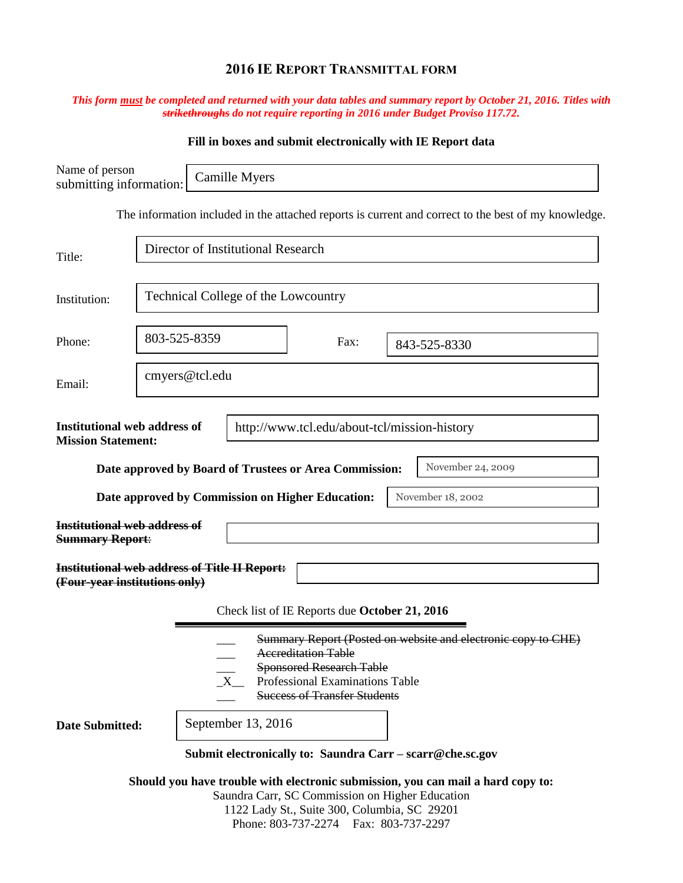## **2016 IE REPORT TRANSMITTAL FORM**

## *This form must be completed and returned with your data tables and summary report by October 21, 2016. Titles with strikethroughs do not require reporting in 2016 under Budget Proviso 117.72.*

|                                                                                                                  |                                                      |                                                           |                                                                                                                                         | Fill in boxes and submit electronically with IE Report data                                          |  |  |
|------------------------------------------------------------------------------------------------------------------|------------------------------------------------------|-----------------------------------------------------------|-----------------------------------------------------------------------------------------------------------------------------------------|------------------------------------------------------------------------------------------------------|--|--|
| Name of person<br>submitting information:                                                                        |                                                      | Camille Myers                                             |                                                                                                                                         |                                                                                                      |  |  |
|                                                                                                                  |                                                      |                                                           |                                                                                                                                         | The information included in the attached reports is current and correct to the best of my knowledge. |  |  |
| Title:                                                                                                           |                                                      | Director of Institutional Research                        |                                                                                                                                         |                                                                                                      |  |  |
| Institution:                                                                                                     |                                                      | <b>Technical College of the Lowcountry</b>                |                                                                                                                                         |                                                                                                      |  |  |
| Phone:                                                                                                           | 803-525-8359                                         |                                                           | Fax:                                                                                                                                    | 843-525-8330                                                                                         |  |  |
| Email:                                                                                                           | cmyers@tcl.edu                                       |                                                           |                                                                                                                                         |                                                                                                      |  |  |
| <b>Institutional web address of</b><br>http://www.tcl.edu/about-tcl/mission-history<br><b>Mission Statement:</b> |                                                      |                                                           |                                                                                                                                         |                                                                                                      |  |  |
|                                                                                                                  |                                                      |                                                           | Date approved by Board of Trustees or Area Commission:<br>Date approved by Commission on Higher Education:                              | November 24, 2009<br>November 18, 2002                                                               |  |  |
| <b>Institutional web address of</b><br><b>Summary Report:</b>                                                    |                                                      |                                                           |                                                                                                                                         |                                                                                                      |  |  |
| (Four-year institutions only)                                                                                    | <b>Institutional web address of Title II Report:</b> |                                                           |                                                                                                                                         |                                                                                                      |  |  |
|                                                                                                                  |                                                      |                                                           | Check list of IE Reports due October 21, 2016                                                                                           |                                                                                                      |  |  |
|                                                                                                                  |                                                      |                                                           | <b>Accreditation Table</b><br><b>Sponsored Research Table</b><br>Professional Examinations Table<br><b>Success of Transfer Students</b> | Summary Report (Posted on website and electronic copy to CHE)                                        |  |  |
| <b>Date Submitted:</b>                                                                                           |                                                      | September 13, 2016                                        |                                                                                                                                         |                                                                                                      |  |  |
|                                                                                                                  |                                                      | Submit electronically to: Saundra Carr - scarr@che.sc.gov |                                                                                                                                         |                                                                                                      |  |  |
|                                                                                                                  |                                                      |                                                           | Saundra Carr, SC Commission on Higher Education                                                                                         | Should you have trouble with electronic submission, you can mail a hard copy to:                     |  |  |

1122 Lady St., Suite 300, Columbia, SC 29201 Phone: 803-737-2274 Fax: 803-737-2297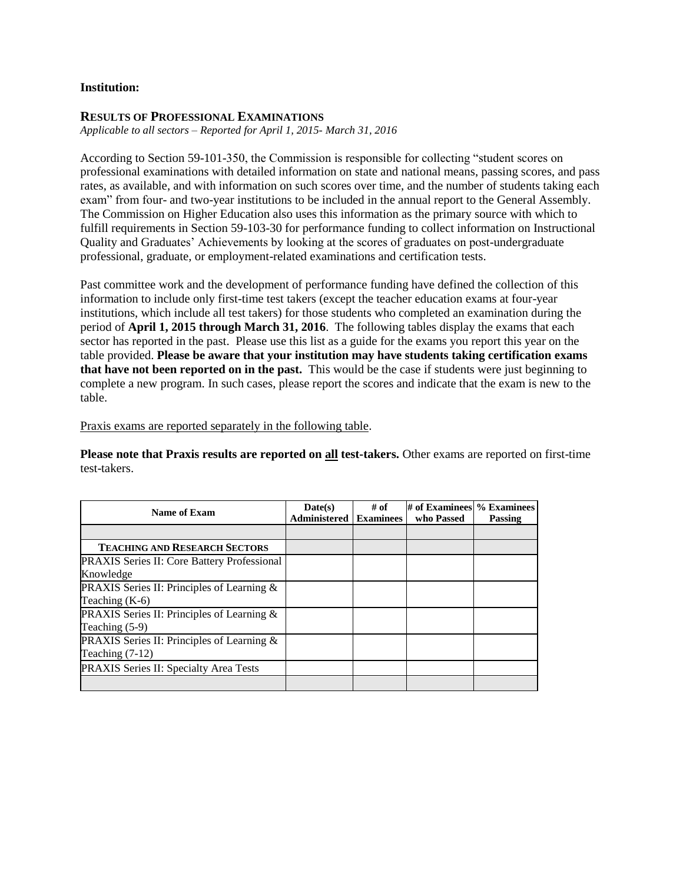## **Institution:**

## **RESULTS OF PROFESSIONAL EXAMINATIONS**

*Applicable to all sectors – Reported for April 1, 2015- March 31, 2016*

According to Section 59-101-350, the Commission is responsible for collecting "student scores on professional examinations with detailed information on state and national means, passing scores, and pass rates, as available, and with information on such scores over time, and the number of students taking each exam" from four- and two-year institutions to be included in the annual report to the General Assembly. The Commission on Higher Education also uses this information as the primary source with which to fulfill requirements in Section 59-103-30 for performance funding to collect information on Instructional Quality and Graduates' Achievements by looking at the scores of graduates on post-undergraduate professional, graduate, or employment-related examinations and certification tests.

Past committee work and the development of performance funding have defined the collection of this information to include only first-time test takers (except the teacher education exams at four-year institutions, which include all test takers) for those students who completed an examination during the period of **April 1, 2015 through March 31, 2016**. The following tables display the exams that each sector has reported in the past. Please use this list as a guide for the exams you report this year on the table provided. **Please be aware that your institution may have students taking certification exams that have not been reported on in the past.** This would be the case if students were just beginning to complete a new program. In such cases, please report the scores and indicate that the exam is new to the table.

Praxis exams are reported separately in the following table.

**Please note that Praxis results are reported on all test-takers.** Other exams are reported on first-time test-takers.

| Name of Exam                                         | Date(s)<br><b>Administered   Examinees</b> | # of | # of Examinees % Examinees<br>who Passed | Passing |
|------------------------------------------------------|--------------------------------------------|------|------------------------------------------|---------|
|                                                      |                                            |      |                                          |         |
| <b>TEACHING AND RESEARCH SECTORS</b>                 |                                            |      |                                          |         |
| <b>PRAXIS</b> Series II: Core Battery Professional   |                                            |      |                                          |         |
| Knowledge                                            |                                            |      |                                          |         |
| <b>PRAXIS</b> Series II: Principles of Learning $\&$ |                                            |      |                                          |         |
| Teaching $(K-6)$                                     |                                            |      |                                          |         |
| PRAXIS Series II: Principles of Learning &           |                                            |      |                                          |         |
| Teaching $(5-9)$                                     |                                            |      |                                          |         |
| PRAXIS Series II: Principles of Learning &           |                                            |      |                                          |         |
| Teaching $(7-12)$                                    |                                            |      |                                          |         |
| PRAXIS Series II: Specialty Area Tests               |                                            |      |                                          |         |
|                                                      |                                            |      |                                          |         |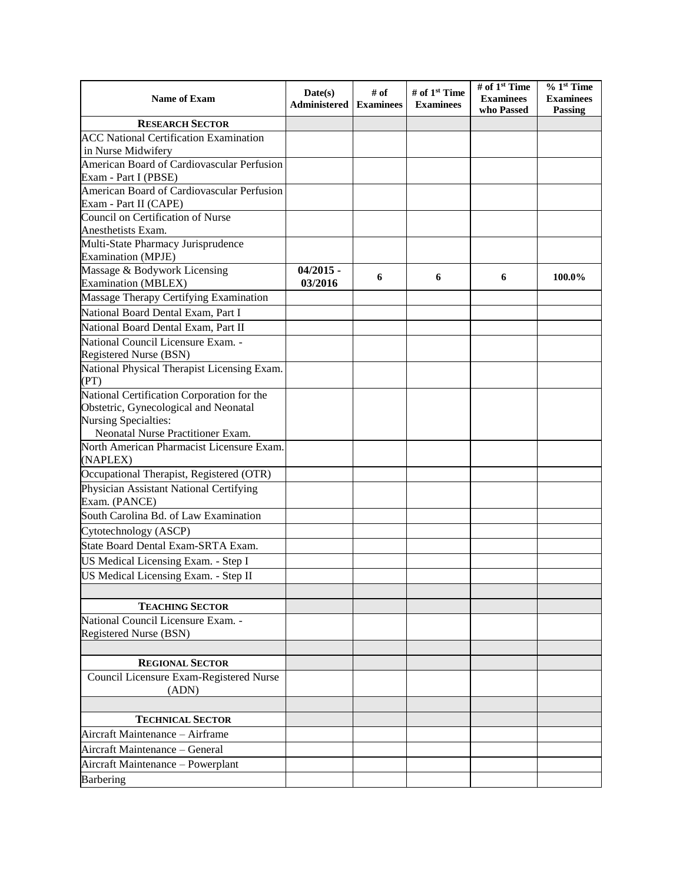| <b>Name of Exam</b>                                                 | Date(s)<br>Administered | # of<br><b>Examinees</b> | # of 1 <sup>st</sup> Time<br><b>Examinees</b> | # of 1 <sup>st</sup> Time<br><b>Examinees</b><br>who Passed | $% 1st$ Time<br><b>Examinees</b><br>Passing |
|---------------------------------------------------------------------|-------------------------|--------------------------|-----------------------------------------------|-------------------------------------------------------------|---------------------------------------------|
| <b>RESEARCH SECTOR</b>                                              |                         |                          |                                               |                                                             |                                             |
| <b>ACC National Certification Examination</b>                       |                         |                          |                                               |                                                             |                                             |
| in Nurse Midwifery                                                  |                         |                          |                                               |                                                             |                                             |
| American Board of Cardiovascular Perfusion                          |                         |                          |                                               |                                                             |                                             |
| Exam - Part I (PBSE)                                                |                         |                          |                                               |                                                             |                                             |
| American Board of Cardiovascular Perfusion<br>Exam - Part II (CAPE) |                         |                          |                                               |                                                             |                                             |
| Council on Certification of Nurse<br>Anesthetists Exam.             |                         |                          |                                               |                                                             |                                             |
| Multi-State Pharmacy Jurisprudence<br><b>Examination</b> (MPJE)     |                         |                          |                                               |                                                             |                                             |
| Massage & Bodywork Licensing<br><b>Examination</b> (MBLEX)          | $04/2015$ -<br>03/2016  | 6                        | 6                                             | 6                                                           | 100.0%                                      |
| Massage Therapy Certifying Examination                              |                         |                          |                                               |                                                             |                                             |
| National Board Dental Exam, Part I                                  |                         |                          |                                               |                                                             |                                             |
| National Board Dental Exam, Part II                                 |                         |                          |                                               |                                                             |                                             |
| National Council Licensure Exam. -<br>Registered Nurse (BSN)        |                         |                          |                                               |                                                             |                                             |
| National Physical Therapist Licensing Exam.                         |                         |                          |                                               |                                                             |                                             |
| (PT)                                                                |                         |                          |                                               |                                                             |                                             |
| National Certification Corporation for the                          |                         |                          |                                               |                                                             |                                             |
| Obstetric, Gynecological and Neonatal                               |                         |                          |                                               |                                                             |                                             |
| Nursing Specialties:                                                |                         |                          |                                               |                                                             |                                             |
| Neonatal Nurse Practitioner Exam.                                   |                         |                          |                                               |                                                             |                                             |
| North American Pharmacist Licensure Exam.<br>(NAPLEX)               |                         |                          |                                               |                                                             |                                             |
| Occupational Therapist, Registered (OTR)                            |                         |                          |                                               |                                                             |                                             |
| Physician Assistant National Certifying<br>Exam. (PANCE)            |                         |                          |                                               |                                                             |                                             |
| South Carolina Bd. of Law Examination                               |                         |                          |                                               |                                                             |                                             |
|                                                                     |                         |                          |                                               |                                                             |                                             |
| Cytotechnology (ASCP)<br>State Board Dental Exam-SRTA Exam.         |                         |                          |                                               |                                                             |                                             |
|                                                                     |                         |                          |                                               |                                                             |                                             |
| US Medical Licensing Exam. - Step I                                 |                         |                          |                                               |                                                             |                                             |
| US Medical Licensing Exam. - Step II                                |                         |                          |                                               |                                                             |                                             |
|                                                                     |                         |                          |                                               |                                                             |                                             |
| <b>TEACHING SECTOR</b>                                              |                         |                          |                                               |                                                             |                                             |
| National Council Licensure Exam. -<br>Registered Nurse (BSN)        |                         |                          |                                               |                                                             |                                             |
|                                                                     |                         |                          |                                               |                                                             |                                             |
| <b>REGIONAL SECTOR</b>                                              |                         |                          |                                               |                                                             |                                             |
| Council Licensure Exam-Registered Nurse<br>(ADN)                    |                         |                          |                                               |                                                             |                                             |
|                                                                     |                         |                          |                                               |                                                             |                                             |
| <b>TECHNICAL SECTOR</b>                                             |                         |                          |                                               |                                                             |                                             |
| Aircraft Maintenance - Airframe                                     |                         |                          |                                               |                                                             |                                             |
| Aircraft Maintenance - General                                      |                         |                          |                                               |                                                             |                                             |
| Aircraft Maintenance - Powerplant                                   |                         |                          |                                               |                                                             |                                             |
| Barbering                                                           |                         |                          |                                               |                                                             |                                             |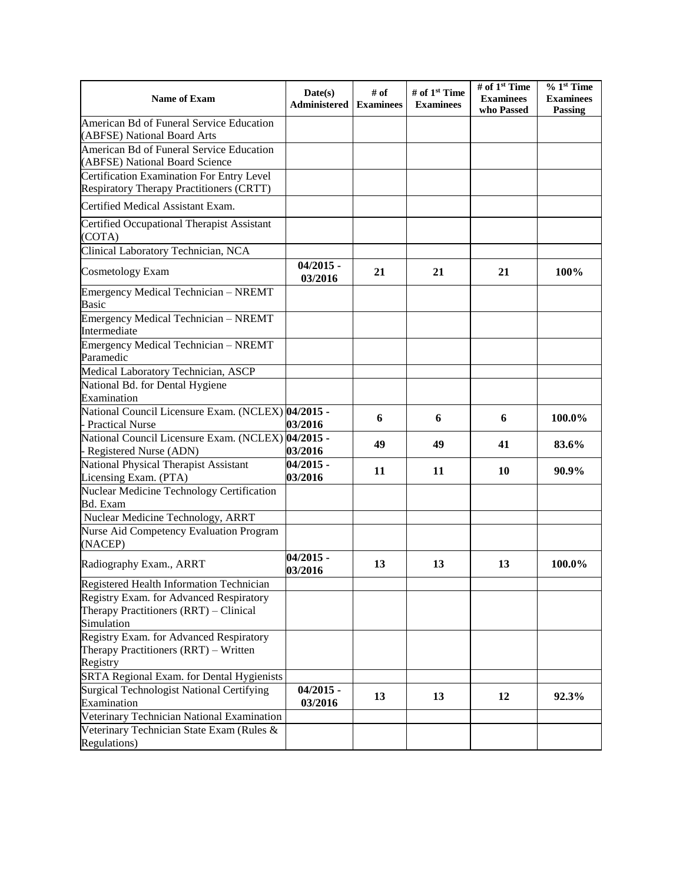| Name of Exam                                                                                    | Date(s)<br><b>Administered</b> | # of<br><b>Examinees</b> | # of $1st$ Time<br><b>Examinees</b> | # of 1 <sup>st</sup> Time<br><b>Examinees</b><br>who Passed | $% 1st$ Time<br><b>Examinees</b><br>Passing |
|-------------------------------------------------------------------------------------------------|--------------------------------|--------------------------|-------------------------------------|-------------------------------------------------------------|---------------------------------------------|
| American Bd of Funeral Service Education<br>(ABFSE) National Board Arts                         |                                |                          |                                     |                                                             |                                             |
| American Bd of Funeral Service Education<br>(ABFSE) National Board Science                      |                                |                          |                                     |                                                             |                                             |
| Certification Examination For Entry Level<br>Respiratory Therapy Practitioners (CRTT)           |                                |                          |                                     |                                                             |                                             |
| Certified Medical Assistant Exam.                                                               |                                |                          |                                     |                                                             |                                             |
| Certified Occupational Therapist Assistant<br>(COTA)                                            |                                |                          |                                     |                                                             |                                             |
| Clinical Laboratory Technician, NCA                                                             |                                |                          |                                     |                                                             |                                             |
| <b>Cosmetology Exam</b>                                                                         | $04/2015$ -<br>03/2016         | 21                       | 21                                  | 21                                                          | 100%                                        |
| Emergency Medical Technician - NREMT<br>Basic                                                   |                                |                          |                                     |                                                             |                                             |
| Emergency Medical Technician - NREMT<br>Intermediate                                            |                                |                          |                                     |                                                             |                                             |
| Emergency Medical Technician - NREMT<br>Paramedic                                               |                                |                          |                                     |                                                             |                                             |
| Medical Laboratory Technician, ASCP                                                             |                                |                          |                                     |                                                             |                                             |
| National Bd. for Dental Hygiene<br>Examination                                                  |                                |                          |                                     |                                                             |                                             |
| National Council Licensure Exam. (NCLEX) 04/2015 -<br><b>Practical Nurse</b>                    | 03/2016                        | 6                        | 6                                   | 6                                                           | 100.0%                                      |
| National Council Licensure Exam. (NCLEX) 04/2015 -<br>- Registered Nurse (ADN)                  | 03/2016                        | 49                       | 49                                  | 41                                                          | 83.6%                                       |
| National Physical Therapist Assistant<br>Licensing Exam. (PTA)                                  | $04/2015 -$<br>03/2016         | 11                       | 11                                  | 10                                                          | 90.9%                                       |
| Nuclear Medicine Technology Certification<br><b>Bd.</b> Exam                                    |                                |                          |                                     |                                                             |                                             |
| Nuclear Medicine Technology, ARRT                                                               |                                |                          |                                     |                                                             |                                             |
| Nurse Aid Competency Evaluation Program<br>(NACEP)                                              |                                |                          |                                     |                                                             |                                             |
| Radiography Exam., ARRT                                                                         | $04/2015 -$<br>03/2016         | 13                       | 13                                  | 13                                                          | 100.0%                                      |
| Registered Health Information Technician                                                        |                                |                          |                                     |                                                             |                                             |
| Registry Exam. for Advanced Respiratory<br>Therapy Practitioners (RRT) – Clinical<br>Simulation |                                |                          |                                     |                                                             |                                             |
| Registry Exam. for Advanced Respiratory<br>Therapy Practitioners (RRT) - Written                |                                |                          |                                     |                                                             |                                             |
| Registry                                                                                        |                                |                          |                                     |                                                             |                                             |
| SRTA Regional Exam. for Dental Hygienists                                                       |                                |                          |                                     |                                                             |                                             |
| Surgical Technologist National Certifying                                                       | $04/2015 -$                    | 13                       | 13                                  | 12                                                          | 92.3%                                       |
| Examination                                                                                     | 03/2016                        |                          |                                     |                                                             |                                             |
| Veterinary Technician National Examination                                                      |                                |                          |                                     |                                                             |                                             |
| Veterinary Technician State Exam (Rules &<br>Regulations)                                       |                                |                          |                                     |                                                             |                                             |